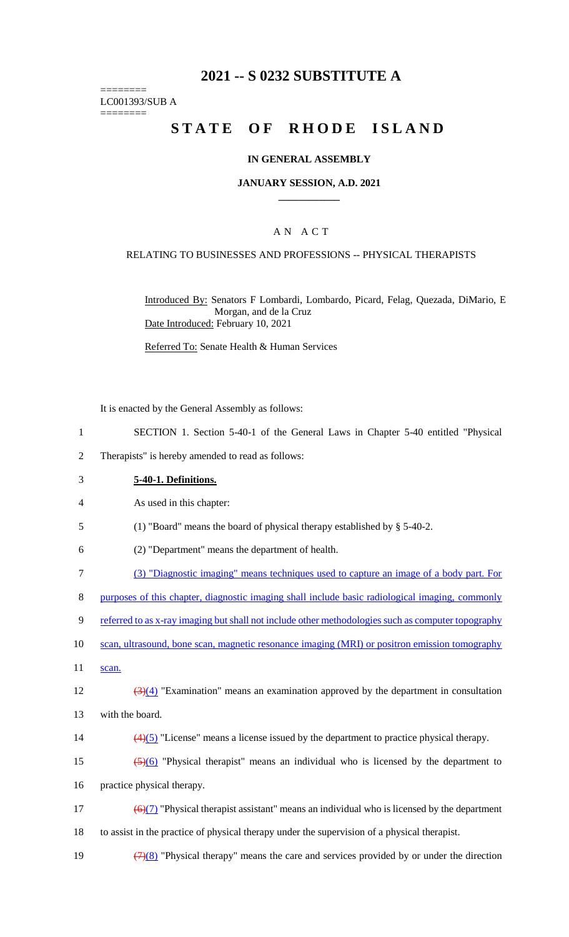## **2021 -- S 0232 SUBSTITUTE A**

LC001393/SUB A

========

========

# **STATE OF RHODE ISLAND**

#### **IN GENERAL ASSEMBLY**

#### **JANUARY SESSION, A.D. 2021 \_\_\_\_\_\_\_\_\_\_\_\_**

## A N A C T

#### RELATING TO BUSINESSES AND PROFESSIONS -- PHYSICAL THERAPISTS

Introduced By: Senators F Lombardi, Lombardo, Picard, Felag, Quezada, DiMario, E Morgan, and de la Cruz Date Introduced: February 10, 2021

Referred To: Senate Health & Human Services

It is enacted by the General Assembly as follows:

- 1 SECTION 1. Section 5-40-1 of the General Laws in Chapter 5-40 entitled "Physical
- 2 Therapists" is hereby amended to read as follows:

| 3  | 5-40-1. Definitions.                                                                                            |
|----|-----------------------------------------------------------------------------------------------------------------|
| 4  | As used in this chapter:                                                                                        |
| 5  | (1) "Board" means the board of physical therapy established by $\S$ 5-40-2.                                     |
| 6  | (2) "Department" means the department of health.                                                                |
| 7  | (3) "Diagnostic imaging" means techniques used to capture an image of a body part. For                          |
| 8  | purposes of this chapter, diagnostic imaging shall include basic radiological imaging, commonly                 |
| 9  | referred to as x-ray imaging but shall not include other methodologies such as computer topography              |
| 10 | scan, ultrasound, bone scan, magnetic resonance imaging (MRI) or positron emission tomography                   |
| 11 | scan.                                                                                                           |
| 12 | $\frac{(\frac{3}{4})}{(4)}$ "Examination" means an examination approved by the department in consultation       |
| 13 | with the board.                                                                                                 |
| 14 | $\left(\frac{4}{5}\right)$ "License" means a license issued by the department to practice physical therapy.     |
| 15 | $\frac{5}{6}$ "Physical therapist" means an individual who is licensed by the department to                     |
| 16 | practice physical therapy.                                                                                      |
| 17 | $\left(\frac{6}{2}\right)$ "Physical therapist assistant" means an individual who is licensed by the department |
| 18 | to assist in the practice of physical therapy under the supervision of a physical therapist.                    |
| 19 | $\left(\frac{7}{8}\right)$ "Physical therapy" means the care and services provided by or under the direction    |
|    |                                                                                                                 |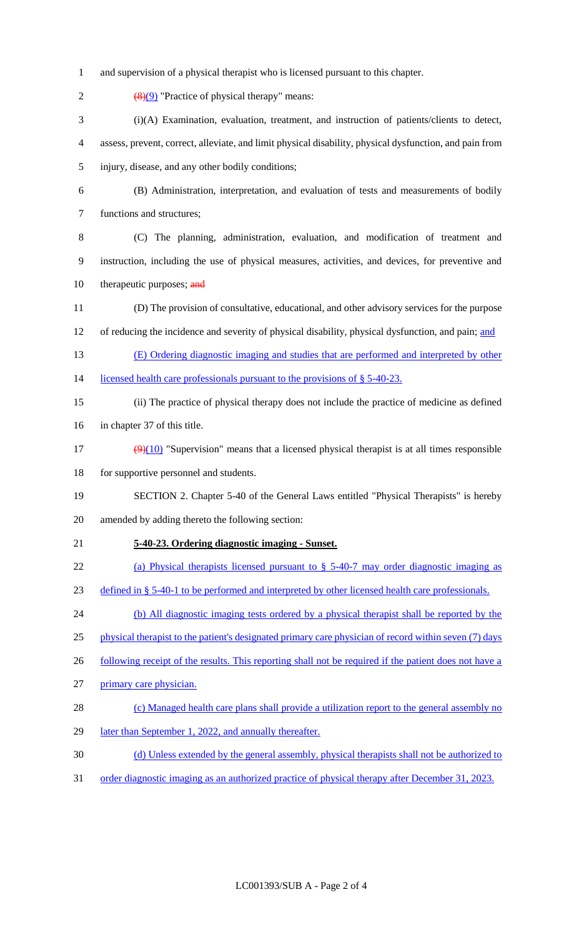- and supervision of a physical therapist who is licensed pursuant to this chapter.
- 2  $(8)(9)$  "Practice of physical therapy" means: (i)(A) Examination, evaluation, treatment, and instruction of patients/clients to detect, assess, prevent, correct, alleviate, and limit physical disability, physical dysfunction, and pain from injury, disease, and any other bodily conditions; (B) Administration, interpretation, and evaluation of tests and measurements of bodily functions and structures; (C) The planning, administration, evaluation, and modification of treatment and instruction, including the use of physical measures, activities, and devices, for preventive and 10 therapeutic purposes; and (D) The provision of consultative, educational, and other advisory services for the purpose 12 of reducing the incidence and severity of physical disability, physical dysfunction, and pain; and (E) Ordering diagnostic imaging and studies that are performed and interpreted by other 14 licensed health care professionals pursuant to the provisions of § 5-40-23. (ii) The practice of physical therapy does not include the practice of medicine as defined in chapter 37 of this title. 17  $(9)(10)$  "Supervision" means that a licensed physical therapist is at all times responsible 18 for supportive personnel and students. SECTION 2. Chapter 5-40 of the General Laws entitled "Physical Therapists" is hereby amended by adding thereto the following section: **5-40-23. Ordering diagnostic imaging - Sunset.**  22 (a) Physical therapists licensed pursuant to  $\S$  5-40-7 may order diagnostic imaging as defined in § 5-40-1 to be performed and interpreted by other licensed health care professionals. (b) All diagnostic imaging tests ordered by a physical therapist shall be reported by the 25 physical therapist to the patient's designated primary care physician of record within seven (7) days 26 following receipt of the results. This reporting shall not be required if the patient does not have a primary care physician. 28 (c) Managed health care plans shall provide a utilization report to the general assembly no 29 later than September 1, 2022, and annually thereafter. (d) Unless extended by the general assembly, physical therapists shall not be authorized to order diagnostic imaging as an authorized practice of physical therapy after December 31, 2023.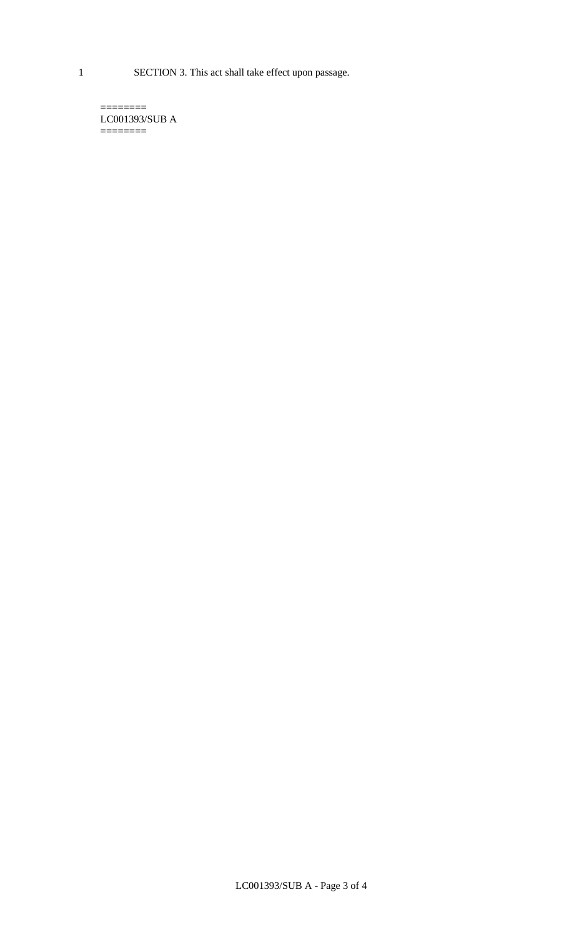1 SECTION 3. This act shall take effect upon passage.

 $=$ LC001393/SUB A  $=$